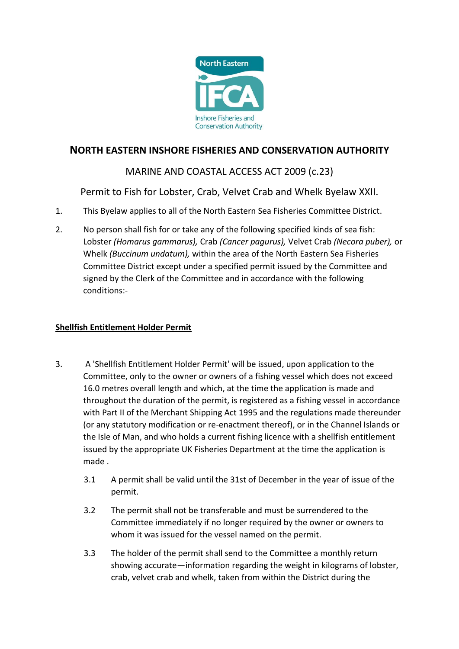

## **NORTH EASTERN INSHORE FISHERIES AND CONSERVATION AUTHORITY**

# MARINE AND COASTAL ACCESS ACT 2009 (c.23)

Permit to Fish for Lobster, Crab, Velvet Crab and Whelk Byelaw XXII.

- 1. This Byelaw applies to all of the North Eastern Sea Fisheries Committee District.
- 2. No person shall fish for or take any of the following specified kinds of sea fish: Lobster *(Homarus gammarus),* Crab *(Cancer pagurus),* Velvet Crab *(Necora puber),* or Whelk *(Buccinum undatum),* within the area of the North Eastern Sea Fisheries Committee District except under a specified permit issued by the Committee and signed by the Clerk of the Committee and in accordance with the following conditions:-

### **Shellfish Entitlement Holder Permit**

- 3. A 'Shellfish Entitlement Holder Permit' will be issued, upon application to the Committee, only to the owner or owners of a fishing vessel which does not exceed 16.0 metres overall length and which, at the time the application is made and throughout the duration of the permit, is registered as a fishing vessel in accordance with Part II of the Merchant Shipping Act 1995 and the regulations made thereunder (or any statutory modification or re-enactment thereof), or in the Channel Islands or the Isle of Man, and who holds a current fishing licence with a shellfish entitlement issued by the appropriate UK Fisheries Department at the time the application is made .
	- 3.1 A permit shall be valid until the 31st of December in the year of issue of the permit.
	- 3.2 The permit shall not be transferable and must be surrendered to the Committee immediately if no longer required by the owner or owners to whom it was issued for the vessel named on the permit.
	- 3.3 The holder of the permit shall send to the Committee a monthly return showing accurate—information regarding the weight in kilograms of lobster, crab, velvet crab and whelk, taken from within the District during the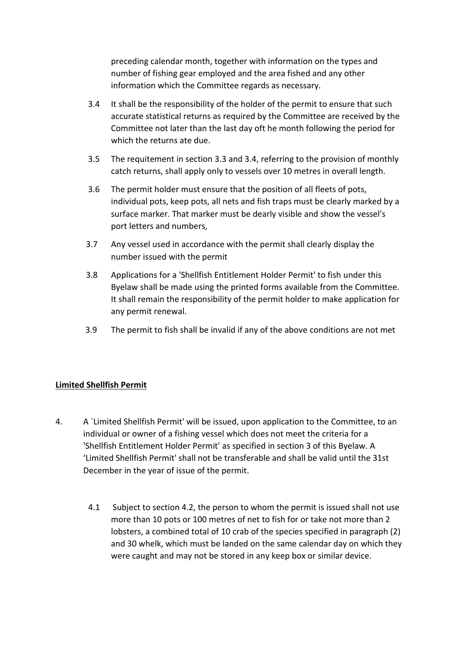preceding calendar month, together with information on the types and number of fishing gear employed and the area fished and any other information which the Committee regards as necessary.

- 3.4 It shall be the responsibility of the holder of the permit to ensure that such accurate statistical returns as required by the Committee are received by the Committee not later than the last day oft he month following the period for which the returns ate due.
- 3.5 The requitement in section 3.3 and 3.4, referring to the provision of monthly catch returns, shall apply only to vessels over 10 metres in overall length.
- 3.6 The permit holder must ensure that the position of all fleets of pots, individual pots, keep pots, all nets and fish traps must be clearly marked by a surface marker. That marker must be dearly visible and show the vessel's port letters and numbers,
- 3.7 Any vessel used in accordance with the permit shall clearly display the number issued with the permit
- 3.8 Applications for a 'Shellfish Entitlement Holder Permit' to fish under this Byelaw shall be made using the printed forms available from the Committee. It shall remain the responsibility of the permit holder to make application for any permit renewal.
- 3.9 The permit to fish shall be invalid if any of the above conditions are not met

### **Limited Shellfish Permit**

- 4. A `Limited Shellfish Permit' will be issued, upon application to the Committee, to an individual or owner of a fishing vessel which does not meet the criteria for a 'Shellfish Entitlement Holder Permit' as specified in section 3 of this Byelaw. A 'Limited Shellfish Permit' shall not be transferable and shall be valid until the 31st December in the year of issue of the permit.
	- 4.1 Subject to section 4.2, the person to whom the permit is issued shall not use more than 10 pots or 100 metres of net to fish for or take not more than 2 lobsters, a combined total of 10 crab of the species specified in paragraph (2) and 30 whelk, which must be landed on the same calendar day on which they were caught and may not be stored in any keep box or similar device.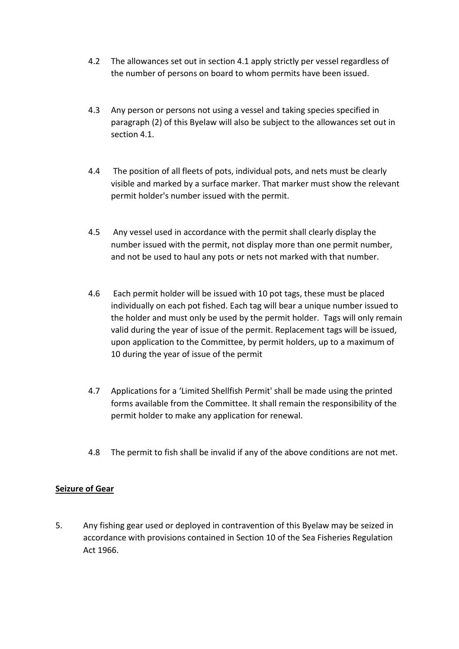- 4.2 The allowances set out in section 4.1 apply strictly per vessel regardless of the number of persons on board to whom permits have been issued.
- 4.3 Any person or persons not using a vessel and taking species specified in paragraph (2) of this Byelaw will also be subject to the allowances set out in section 4.1.
- 4.4 The position of all fleets of pots, individual pots, and nets must be clearly visible and marked by a surface marker. That marker must show the relevant permit holder's number issued with the permit.
- 4.5 Any vessel used in accordance with the permit shall clearly display the number issued with the permit, not display more than one permit number, and not be used to haul any pots or nets not marked with that number.
- 4.6 Each permit holder will be issued with 10 pot tags, these must be placed individually on each pot fished. Each tag will bear a unique number issued to the holder and must only be used by the permit holder. Tags will only remain valid during the year of issue of the permit. Replacement tags will be issued, upon application to the Committee, by permit holders, up to a maximum of 10 during the year of issue of the permit
- 4.7 Applications for a 'Limited Shellfish Permit' shall be made using the printed forms available from the Committee. It shall remain the responsibility of the permit holder to make any application for renewal.
- 4.8 The permit to fish shall be invalid if any of the above conditions are not met.

### **Seizure of Gear**

5. Any fishing gear used or deployed in contravention of this Byelaw may be seized in accordance with provisions contained in Section 10 of the Sea Fisheries Regulation Act 1966.